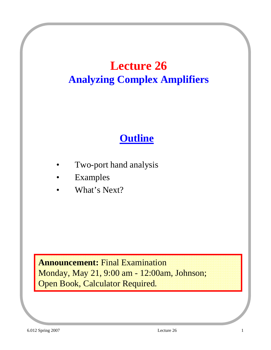## **Lecture 26 Analyzing Complex Amplifiers**

## **Outline**

- Two-port hand analysis
- **Examples**
- What's Next?

**Announcement:** Final Examination Monday, May 21, 9:00 am - 12:00am, Johnson; Open Book, Calculator Required.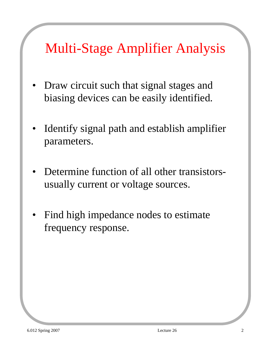# Multi-Stage Amplifier Analysis

- Draw circuit such that signal stages and biasing devices can be easily identified.
- Identify signal path and establish amplifier parameters.
- Determine function of all other transistorsusually current or voltage sources.
- Find high impedance nodes to estimate frequency response.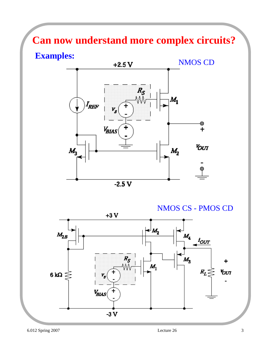## **Can now understand more complex circuits?**



NMOS CS - PMOS CD

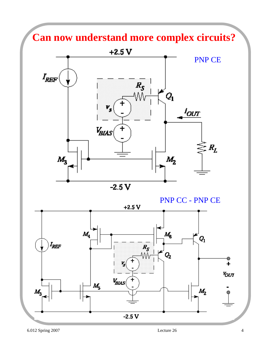### **Can now understand more complex circuits?**



PNP CC - PNP CE

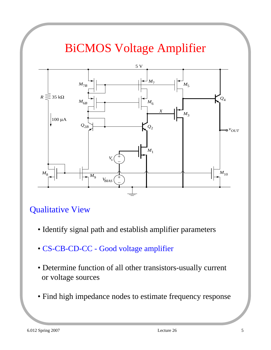## BiCMOS Voltage Amplifier



#### Qualitative View

- Identify signal path and establish amplifier parameters
- CS-CB-CD-CC Good voltage amplifier
- Determine function of all other transistors-usually current or voltage sources
- Find high impedance nodes to estimate frequency response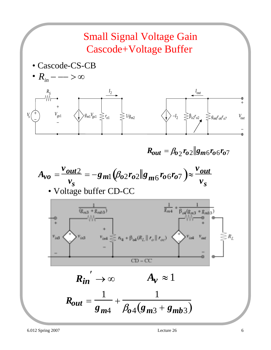

 $R_{out} = \beta_{02} r_{02} \| g_{m6} r_{06} r_{07} \|$ 



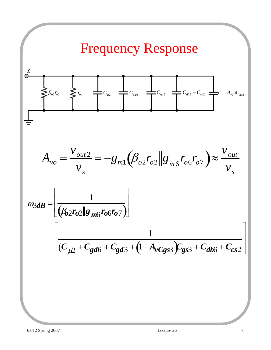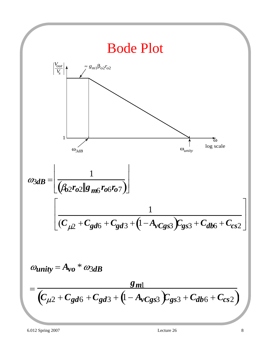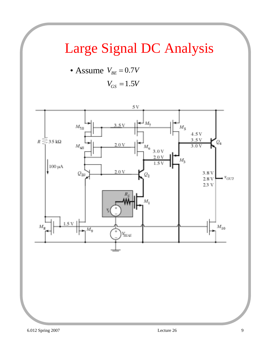# Large Signal DC Analysis

• Assume 
$$
V_{BE} = 0.7V
$$
  
 $V_{GS} = 1.5V$